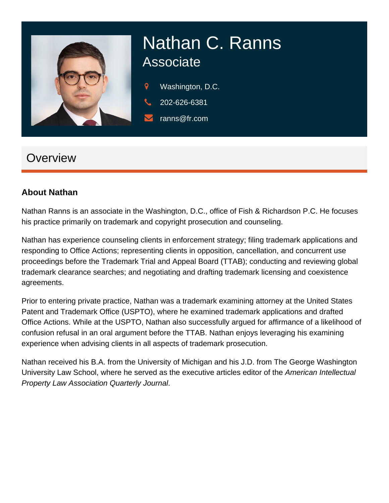

# Nathan C. Ranns **Associate**

- 9 Washington, D.C.
- 202-626-6381
	- ranns@fr.com

## **Overview**

#### **About Nathan**

Nathan Ranns is an associate in the Washington, D.C., office of Fish & Richardson P.C. He focuses his practice primarily on trademark and copyright prosecution and counseling.

Nathan has experience counseling clients in enforcement strategy; filing trademark applications and responding to Office Actions; representing clients in opposition, cancellation, and concurrent use proceedings before the Trademark Trial and Appeal Board (TTAB); conducting and reviewing global trademark clearance searches; and negotiating and drafting trademark licensing and coexistence agreements.

Prior to entering private practice, Nathan was a trademark examining attorney at the United States Patent and Trademark Office (USPTO), where he examined trademark applications and drafted Office Actions. While at the USPTO, Nathan also successfully argued for affirmance of a likelihood of confusion refusal in an oral argument before the TTAB. Nathan enjoys leveraging his examining experience when advising clients in all aspects of trademark prosecution.

Nathan received his B.A. from the University of Michigan and his J.D. from The George Washington University Law School, where he served as the executive articles editor of the American Intellectual Property Law Association Quarterly Journal.